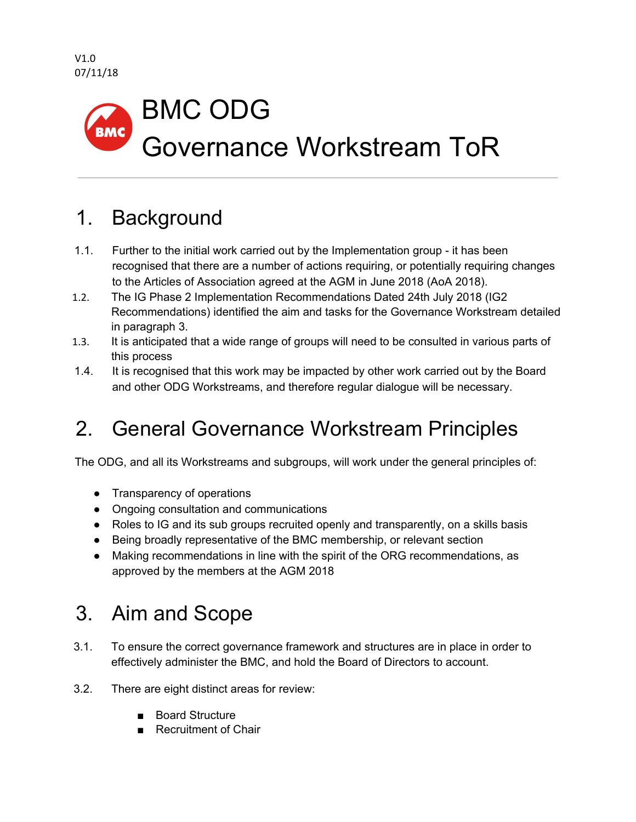#### BMC ODG **BMC** Governance Workstream ToR

# 1. Background

- 1.1. Further to the initial work carried out by the Implementation group it has been recognised that there are a number of actions requiring, or potentially requiring changes to the Articles of Association agreed at the AGM in June 2018 (AoA 2018).
- 1.2. The IG Phase 2 Implementation Recommendations Dated 24th July 2018 (IG2 Recommendations) identified the aim and tasks for the Governance Workstream detailed in paragraph 3.
- 1.3. It is anticipated that a wide range of groups will need to be consulted in various parts of this process
- 1.4. It is recognised that this work may be impacted by other work carried out by the Board and other ODG Workstreams, and therefore regular dialogue will be necessary.

## 2. General Governance Workstream Principles

The ODG, and all its Workstreams and subgroups, will work under the general principles of:

- Transparency of operations
- Ongoing consultation and communications
- Roles to IG and its sub groups recruited openly and transparently, on a skills basis
- Being broadly representative of the BMC membership, or relevant section
- Making recommendations in line with the spirit of the ORG recommendations, as approved by the members at the AGM 2018

## 3. Aim and Scope

- 3.1. To ensure the correct governance framework and structures are in place in order to effectively administer the BMC, and hold the Board of Directors to account.
- 3.2. There are eight distinct areas for review:
	- Board Structure
	- Recruitment of Chair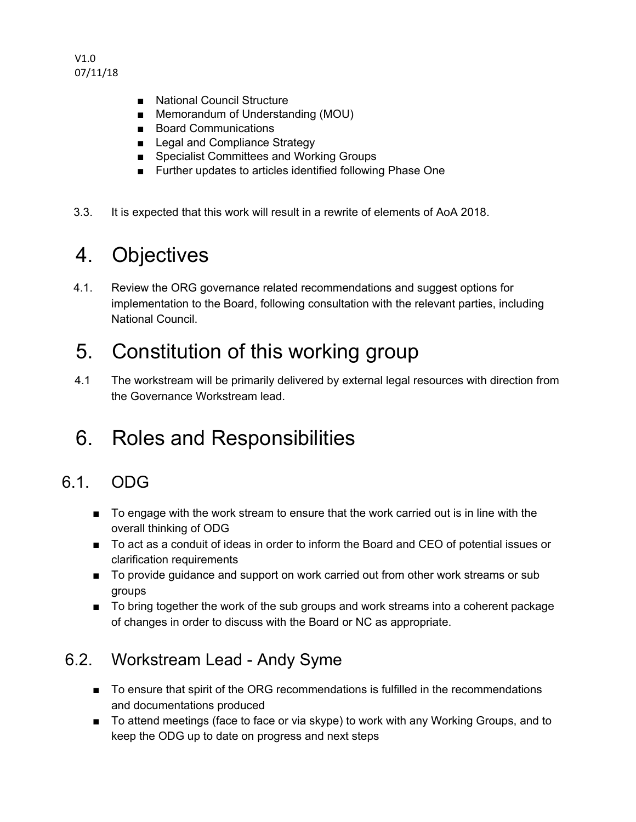V1.0 07/11/18

- National Council Structure
- Memorandum of Understanding (MOU)
- Board Communications
- Legal and Compliance Strategy
- Specialist Committees and Working Groups
- Further updates to articles identified following Phase One
- 3.3. It is expected that this work will result in a rewrite of elements of AoA 2018.

### 4. Objectives

4.1. Review the ORG governance related recommendations and suggest options for implementation to the Board, following consultation with the relevant parties, including National Council.

### 5. Constitution of this working group

4.1 The workstream will be primarily delivered by external legal resources with direction from the Governance Workstream lead.

## 6. Roles and Responsibilities

#### 6.1. ODG

- To engage with the work stream to ensure that the work carried out is in line with the overall thinking of ODG
- To act as a conduit of ideas in order to inform the Board and CEO of potential issues or clarification requirements
- To provide guidance and support on work carried out from other work streams or sub groups
- To bring together the work of the sub groups and work streams into a coherent package of changes in order to discuss with the Board or NC as appropriate.

#### 6.2. Workstream Lead - Andy Syme

- To ensure that spirit of the ORG recommendations is fulfilled in the recommendations and documentations produced
- To attend meetings (face to face or via skype) to work with any Working Groups, and to keep the ODG up to date on progress and next steps